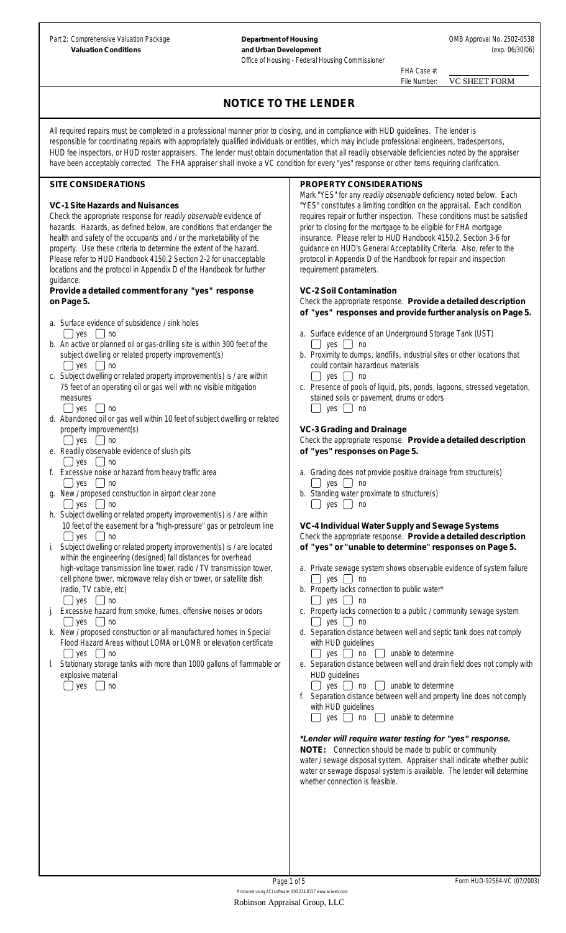Part 2: Comprehensive Valuation Package **Department of Housing Department of Housing Department of Housing Department of Housing Department of Housing Department of Housing Department of Housing Department of Valuation Conditions and Urban Development** (exp. 06/30/06)

Office of Housing - Federal Housing Commissioner

FHA Case #: File Number:

VC SHEET FORM

# **NOTICE TO THE LENDER**

All required repairs must be completed in a professional manner prior to closing, and in compliance with HUD guidelines. The lender is responsible for coordinating repairs with appropriately qualified individuals or entities, which may include professional engineers, tradespersons, HUD fee inspectors, or HUD roster appraisers. The lender must obtain documentation that all readily observable deficiencies noted by the appraiser have been acceptably corrected. The FHA appraiser shall invoke a VC condition for every "yes" response or other items requiring clarification.

# **SITE CONSIDERATIONS**

#### **VC-1 Site Hazards and Nuisances**

Check the appropriate response for readily observable evidence of hazards. Hazards, as defined below, are conditions that endanger the health and safety of the occupants and / or the marketability of the property. Use these criteria to determine the extent of the hazard. Please refer to HUD Handbook 4150.2 Section 2-2 for unacceptable locations and the protocol in Appendix D of the Handbook for further guidance.

#### **Provide a detailed comment for any "yes" response on Page 5.**

- a. Surface evidence of subsidence / sink holes  $\Box$  yes  $\Box$  no
- b. An active or planned oil or gas-drilling site is within 300 feet of the subject dwelling or related property improvement(s)  $\Box$  yes  $\Box$  no
- c. Subject dwelling or related property improvement(s) is / are within 75 feet of an operating oil or gas well with no visible mitigation measures
	- $\Box$  yes  $\Box$  no
- d. Abandoned oil or gas well within 10 feet of subject dwelling or related property improvement(s)  $\Box$  yes  $\Box$  no
- e. Readily observable evidence of slush pits  $\Box$  yes  $\Box$  no
- f. Excessive noise or hazard from heavy traffic area  $\Box$  yes  $\Box$  no
- g. New / proposed construction in airport clear zone  $\Box$  yes  $\Box$  no
- h. Subject dwelling or related property improvement(s) is / are within 10 feet of the easement for a "high-pressure" gas or petroleum line  $\bigcup$  yes  $\bigcup$  no

i. Subject dwelling or related property improvement(s) is / are located within the engineering (designed) fall distances for overhead high-voltage transmission line tower, radio / TV transmission tower, cell phone tower, microwave relay dish or tower, or satellite dish (radio, TV cable, etc)

- $\Box$  yes  $\Box$  no
- j. Excessive hazard from smoke, fumes, offensive noises or odors  $\Box$  yes  $\Box$  no
- k. New / proposed construction or all manufactured homes in Special Flood Hazard Areas without LOMA or LOMR or elevation certificate  $\Box$  yes  $\Box$  no

l. Stationary storage tanks with more than 1000 gallons of flammable or explosive material

 $\Box$  yes  $\Box$  no

## **PROPERTY CONSIDERATIONS**

Mark "YES" for any readily observable deficiency noted below. Each "YES" constitutes a limiting condition on the appraisal. Each condition requires repair or further inspection. These conditions must be satisfied prior to closing for the mortgage to be eligible for FHA mortgage insurance. Please refer to HUD Handbook 4150.2, Section 3-6 for guidance on HUD's General Acceptability Criteria. Also, refer to the protocol in Appendix D of the Handbook for repair and inspection requirement parameters.

#### **VC-2 Soil Contamination**

Check the appropriate response. **Provide a detailed description of "yes" responses and provide further analysis on Page 5.**

- a. Surface evidence of an Underground Storage Tank (UST)  $\Box$  yes  $\Box$  no
- b. Proximity to dumps, landfills, industrial sites or other locations that could contain hazardous materials  $\Box$  yes  $\Box$  no
- c. Presence of pools of liquid, pits, ponds, lagoons, stressed vegetation, stained soils or pavement, drums or odors  $\Box$  yes  $\Box$  no

#### **VC-3 Grading and Drainage**

Check the appropriate response. **Provide a detailed description of "yes" responses on Page 5.**

- a. Grading does not provide positive drainage from structure(s)  $\Box$  yes  $\Box$  no
- b. Standing water proximate to structure(s)  $\Box$  yes  $\Box$  no

**VC-4 Individual Water Supply and Sewage Systems** Check the appropriate response. **Provide a detailed description of "yes" or "unable to determine" responses on Page 5.**

- a. Private sewage system shows observable evidence of system failure  $\Box$  yes  $\Box$  no
- b. Property lacks connection to public water\*  $\Box$  yes  $\Box$  no
- c. Property lacks connection to a public / community sewage system  $\Box$  yes  $\Box$  no
- d. Separation distance between well and septic tank does not comply with HUD guidelines
	- $\Box$  yes  $\Box$  no  $\Box$  unable to determine
- e. Separation distance between well and drain field does not comply with HUD guidelines
- $\Box$  yes  $\Box$  no  $\Box$  unable to determine
- f. Separation distance between well and property line does not comply with HUD guidelines
	- $\Box$  yes  $\Box$  no  $\Box$  unable to determine

## *\*Lender will require water testing for "yes" response.*

**NOTE:** Connection should be made to public or community water / sewage disposal system. Appraiser shall indicate whether public water or sewage disposal system is available. The lender will determine whether connection is feasible.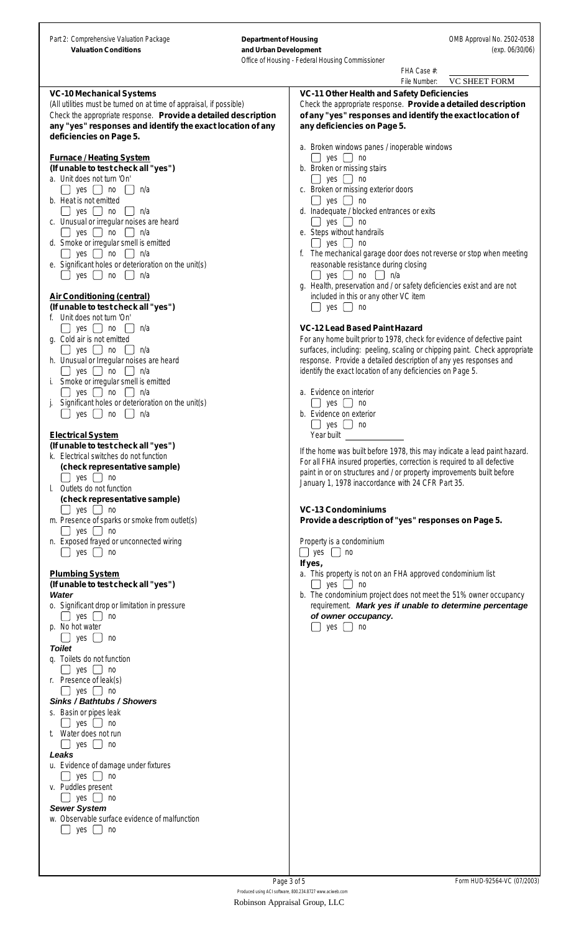Part 2: Comprehensive Valuation Package **Department of Housing Department of Housing Department of Housing Department of Housing Department of Housing Department of Housing Department of Housing Department of Valuation Conditions and Urban Development** (exp. 06/30/06) Office of Housing - Federal Housing Commissioner FHA Case #: File Number: **VC-10 Mechanical Systems** (All utilities must be turned on at time of appraisal, if possible) Check the appropriate response. **Provide a detailed description any "yes" responses and identify the exact location of any deficiencies on Page 5. Furnace / Heating System (If unable to test check all "yes")** a. Unit does not turn 'On'  $\Box$  yes  $\Box$  no  $\Box$  n/a b. Heat is not emitted  $\Box$  yes  $\Box$  no  $\Box$  n/a c. Unusual or irregular noises are heard  $\Box$  yes  $\Box$  no  $\Box$  n/a d. Smoke or irregular smell is emitted  $\Box$  yes  $\Box$  no  $\Box$  n/a e. Significant holes or deterioration on the unit(s)  $\Box$  yes  $\Box$  no  $\Box$  n/a **Air Conditioning (central) (If unable to test check all "yes")** f. Unit does not turn 'On'  $\Box$  yes  $\Box$  no  $\Box$  n/a g. Cold air is not emitted  $\Box$  yes  $\Box$  no  $\Box$  n/a h. Unusual or Irregular noises are heard  $\Box$  yes  $\Box$  no  $\Box$  n/a i. Smoke or irregular smell is emitted  $\Box$  yes  $\Box$  no  $\Box$  n/a j. Significant holes or deterioration on the unit(s)  $\Box$  yes  $\Box$  no  $\Box$  n/a **Electrical System (If unable to test check all "yes")** k. Electrical switches do not function **(check representative sample)**  $\Box$  yes  $\Box$  no l. Outlets do not function **(check representative sample)**  $\bigcup$  yes  $\bigcup$  no m. Presence of sparks or smoke from outlet(s)  $\Box$  yes  $\Box$  no n. Exposed frayed or unconnected wiring  $\Box$  yes  $\Box$  no **Plumbing System (If unable to test check all "yes")** *Water* o. Significant drop or limitation in pressure  $\Box$  yes  $\Box$  no p. No hot water  $\Box$  yes  $\Box$  no *Toilet* q. Toilets do not function  $\Box$  yes  $\Box$  no Presence of leak(s)  $\bigcup$  yes  $\bigcap$  no *Sinks / Bathtubs / Showers* s. Basin or pipes leak  $\Box$  yes  $\Box$  no t. Water does not run  $\Box$  yes  $\Box$  no *Leaks* u. Evidence of damage under fixtures  $\bigcup$  yes  $\bigcup$  no v. Puddles present  $\Box$  yes  $\Box$  no *Sewer System* w. Observable surface evidence of malfunction  $\Box$  yes  $\Box$  no **VC-11 Other Health and Safety Deficiencies** Check the appropriate response. **Provide a detailed description of any "yes" responses and identify the exact location of any deficiencies on Page 5.** a. Broken windows panes / inoperable windows  $\Box$  yes  $\Box$  no b. Broken or missing stairs  $\Box$  yes  $\Box$  no c. Broken or missing exterior doors  $\Box$  yes  $\Box$  no d. Inadequate / blocked entrances or exits  $\Box$  yes  $\Box$  no e. Steps without handrails  $\Box$  yes  $\Box$  no f. The mechanical garage door does not reverse or stop when meeting reasonable resistance during closing  $\bigcup$  yes  $\bigcup$  no  $\bigcup$  n/a g. Health, preservation and / or safety deficiencies exist and are not included in this or any other VC item  $\Box$  yes  $\Box$  no **VC-12 Lead Based Paint Hazard** For any home built prior to 1978, check for evidence of defective paint surfaces, including: peeling, scaling or chipping paint. Check appropriate response. Provide a detailed description of any yes responses and identify the exact location of any deficiencies on Page 5. a. Evidence on interior  $\Box$  yes  $\Box$  no b. Evidence on exterior  $\Box$  yes  $\Box$  no Year built If the home was built before 1978, this may indicate a lead paint hazard. For all FHA insured properties, correction is required to all defective paint in or on structures and / or property improvements built before January 1, 1978 inaccordance with 24 CFR Part 35. **VC-13 Condominiums Provide a description of "yes" responses on Page 5.** Property is a condominium  $\Box$  yes  $\Box$  no **If yes,** a. This property is not on an FHA approved condominium list  $\Box$  yes  $\Box$  no b. The condominium project does not meet the 51% owner occupancy requirement. *Mark yes if unable to determine percentage of owner occupancy.*  $\Box$  yes  $\Box$  no VC SHEET FORM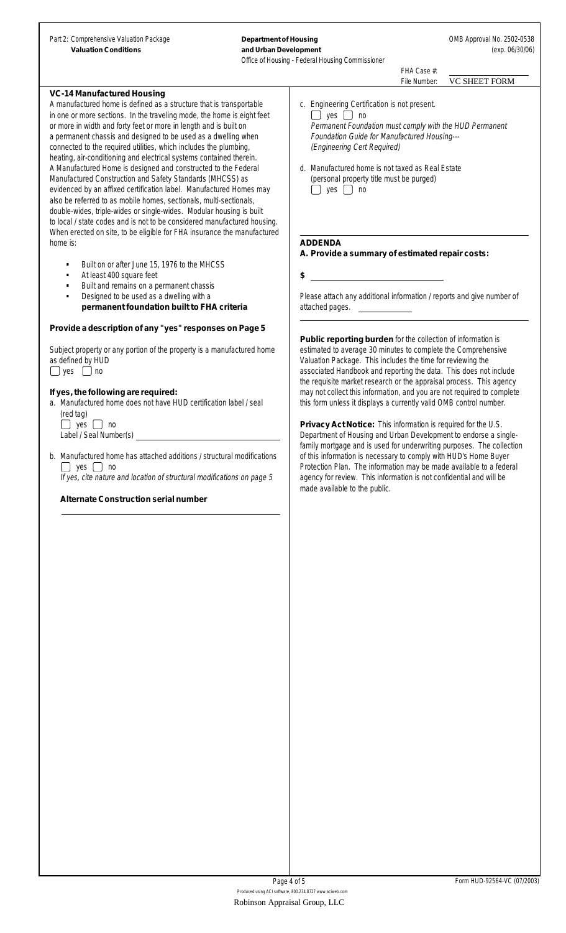Part 2: Comprehensive Valuation Package **Department of Housing Department of Housing Department of Housing COMB Approval No. 2502-0538** 

**Valuation Conditions and Urban Development** (exp. 06/30/06) Office of Housing - Federal Housing Commissioner

VC SHEET FORM

FHA Case #:

File Number:

## **VC-14 Manufactured Housing**

A manufactured home is defined as a structure that is transportable in one or more sections. In the traveling mode, the home is eight feet or more in width and forty feet or more in length and is built on a permanent chassis and designed to be used as a dwelling when connected to the required utilities, which includes the plumbing, heating, air-conditioning and electrical systems contained therein. A Manufactured Home is designed and constructed to the Federal Manufactured Construction and Safety Standards (MHCSS) as evidenced by an affixed certification label. Manufactured Homes may also be referred to as mobile homes, sectionals, multi-sectionals, double-wides, triple-wides or single-wides. Modular housing is built to local / state codes and is not to be considered manufactured housing. When erected on site, to be eligible for FHA insurance the manufactured home is:

- **.** Built on or after June 15, 1976 to the MHCSS
- **.** At least 400 square feet
- **.** Built and remains on a permanent chassis
- **.** Designed to be used as a dwelling with a **permanent foundation built to FHA criteria**

# **Provide a description of any "yes" responses on Page 5**

Subject property or any portion of the property is a manufactured home as defined by HUD  $\Box$  yes  $\Box$  no

**If yes, the following are required:**

a. Manufactured home does not have HUD certification label / seal (red tag)  $\bigcup$  yes  $\bigcup$  no

Label / Seal Number(s)

b. Manufactured home has attached additions / structural modifications  $\Box$  yes  $\Box$  no

If yes, cite nature and location of structural modifications on page 5

**Alternate Construction serial number**

- c. Engineering Certification is not present.  $\Box$  yes  $\Box$  no Permanent Foundation must comply with the HUD Permanent Foundation Guide for Manufactured Housing--- (Engineering Cert Required)
- d. Manufactured home is not taxed as Real Estate (personal property title must be purged)  $\Box$  yes  $\Box$  no

#### **ADDENDA**

**A. Provide a summary of estimated repair costs:**

**\$**

Please attach any additional information / reports and give number of attached pages.

**Public reporting burden** for the collection of information is estimated to average 30 minutes to complete the Comprehensive Valuation Package. This includes the time for reviewing the associated Handbook and reporting the data. This does not include the requisite market research or the appraisal process. This agency may not collect this information, and you are not required to complete this form unless it displays a currently valid OMB control number.

**Privacy Act Notice:** This information is required for the U.S. Department of Housing and Urban Development to endorse a singlefamily mortgage and is used for underwriting purposes. The collection of this information is necessary to comply with HUD's Home Buyer Protection Plan. The information may be made available to a federal agency for review. This information is not confidential and will be made available to the public.